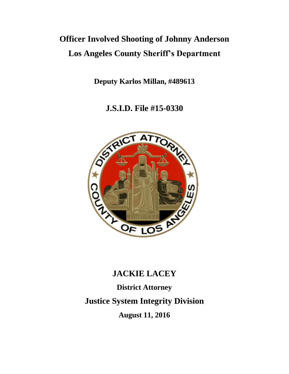# **Officer Involved Shooting of Johnny Anderson Los Angeles County Sheriff's Department**

**Deputy Karlos Millan, #489613** 

**J.S.I.D. File #15-0330**



# **JACKIE LACEY**

**District Attorney Justice System Integrity Division August 11, 2016**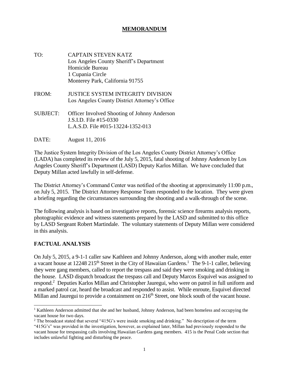#### **MEMORANDUM**

- TO: CAPTAIN STEVEN KATZ Los Angeles County Sheriff's Department Homicide Bureau 1 Cupania Circle Monterey Park, California 91755
- FROM: JUSTICE SYSTEM INTEGRITY DIVISION Los Angeles County District Attorney's Office
- SUBJECT: Officer Involved Shooting of Johnny Anderson J.S.I.D. File #15-0330 L.A.S.D. File #015-13224-1352-013
- DATE: August 11, 2016

The Justice System Integrity Division of the Los Angeles County District Attorney's Office (LADA) has completed its review of the July 5, 2015, fatal shooting of Johnny Anderson by Los Angeles County Sheriff's Department (LASD) Deputy Karlos Millan. We have concluded that Deputy Millan acted lawfully in self-defense.

The District Attorney's Command Center was notified of the shooting at approximately 11:00 p.m., on July 5, 2015. The District Attorney Response Team responded to the location. They were given a briefing regarding the circumstances surrounding the shooting and a walk-through of the scene.

The following analysis is based on investigative reports, forensic science firearms analysis reports, photographic evidence and witness statements prepared by the LASD and submitted to this office by LASD Sergeant Robert Martindale. The voluntary statements of Deputy Millan were considered in this analysis.

#### **FACTUAL ANALYSIS**

On July 5, 2015, a 9-1-1 caller saw Kathleen and Johnny Anderson, along with another male, enter a vacant house at 12248 215<sup>th</sup> Street in the City of Hawaiian Gardens.<sup>1</sup> The 9-1-1 caller, believing they were gang members, called to report the trespass and said they were smoking and drinking in the house. LASD dispatch broadcast the trespass call and Deputy Marcos Esquivel was assigned to respond.<sup>2</sup> Deputies Karlos Millan and Christopher Jauregui, who were on patrol in full uniform and a marked patrol car, heard the broadcast and responded to assist. While enroute, Esquivel directed Millan and Jauregui to provide a containment on  $216<sup>th</sup>$  Street, one block south of the vacant house.

<sup>&</sup>lt;sup>1</sup> Kathleen Anderson admitted that she and her husband, Johnny Anderson, had been homeless and occupying the vacant house for two days.

<sup>&</sup>lt;sup>2</sup> The broadcast stated that several "415G's were inside smoking and drinking." No description of the term

<sup>&</sup>quot;415G's" was provided in the investigation, however, as explained later, Millan had previously responded to the vacant house for trespassing calls involving Hawaiian Gardens gang members. 415 is the Penal Code section that includes unlawful fighting and disturbing the peace.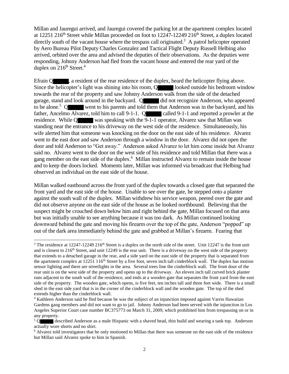Millan and Jauregui arrived, and Jauregui covered the parking lot at the apartment complex located at 12251 216<sup>th</sup> Street while Millan proceeded on foot to 12247-12249 216<sup>th</sup> Street, a duplex located directly south of the vacant house where the trespass call originated.<sup>3</sup> A patrol helicopter operated by Aero Bureau Pilot Deputy Charles Gonzalez and Tactical Flight Deputy Russell Helbing also arrived, orbited over the area and advised the deputies of their observations. As the deputies were responding, Johnny Anderson had fled from the vacant house and entered the rear yard of the duplex on  $216^{th}$  Street.<sup>4</sup>

Efrain O , a resident of the rear residence of the duplex, heard the helicopter flying above. Since the helicopter's light was shining into his room, Q looked outside his bedroom window towards the rear of the property and saw Johnny Anderson walk from the side of the detached garage, stand and look around in the backyard. Q did not recognize Anderson, who appeared to be alone.<sup>5</sup> Q went to his parents and told them that Anderson was in the backyard, and his father, Ancelmo Alvarez, told him to call 9-1-1. Q called 9-1-1 and reported a prowler at the residence. While Q was speaking with the 9-1-1 operator, Alvarez saw that Millan was standing near the entrance to his driveway on the west side of the residence. Simultaneously, his wife alerted him that someone was knocking on the door on the east side of his residence. Alvarez went to the east door and saw Anderson through a window in the door. Alvarez did not open the door and told Anderson to "Get away." Anderson asked Alvarez to let him come inside but Alvarez said no. Alvarez went to the door on the west side of his residence and told Millan that there was a gang member on the east side of the duplex.<sup>6</sup> Millan instructed Alvarez to remain inside the house and to keep the doors locked. Moments later, Millan was informed via broadcast that Helbing had observed an individual on the east side of the house.

Millan walked eastbound across the front yard of the duplex towards a closed gate that separated the front yard and the east side of the house. Unable to see over the gate, he stepped onto a planter against the south wall of the duplex. Millan withdrew his service weapon, peered over the gate and did not observe anyone on the east side of the house as he looked northbound. Believing that the suspect might be crouched down below him and right behind the gate, Millan focused on that area but was initially unable to see anything because it was too dark. As Millan continued looking downward behind the gate and moving his firearm over the top of the gate, Anderson "popped" up out of the dark area immediately behind the gate and grabbed at Millan's firearm. Fearing that

<sup>&</sup>lt;sup>3</sup> The residence at 12247-12249 216<sup>th</sup> Street is a duplex on the north side of the street. Unit 12247 is the front unit and is closest to  $216<sup>th</sup>$  Street, and unit 12249 is the rear unit. There is a driveway on the west side of the property that extends to a detached garage in the rear, and a side yard on the east side of the property that is separated from the apartment complex at  $12251\,116<sup>th</sup>$  Street by a five foot, seven inch tall cinderblock wall. The duplex has motion sensor lighting and there are streetlights in the area. Several trees line the cinderblock wall. The front door of the rear unit is on the west side of the property and opens up to the driveway. An eleven inch tall curved brick planter runs adjacent to the south wall of the residence, and ends at a wooden gate that separates the front yard from the east side of the property. The wooden gate, which opens, is five feet, ten inches tall and three feet wide. There is a small shed in the east side yard that is in the corner of the cinderblock wall and the wooden gate. The top of the shed extends higher than the cinderblock wall.

<sup>&</sup>lt;sup>4</sup> Kathleen Anderson said he fled because he was the subject of an injunction imposed against Varrio Hawaiian Gardens gang members and did not want to go to jail. Johnny Anderson had been served with the injunction in Los Angeles Superior Court case number BC375773 on March 31, 2009, which prohibited him from trespassing on or in any property.

 $5 \Omega$ described Anderson as a male Hispanic with a shaved head, thin build and wearing a tank top. Anderson actually wore shorts and no shirt.

<sup>&</sup>lt;sup>6</sup> Alvarez told investigators that he only motioned to Millan that there was someone on the east side of the residence but Millan said Alvarez spoke to him in Spanish.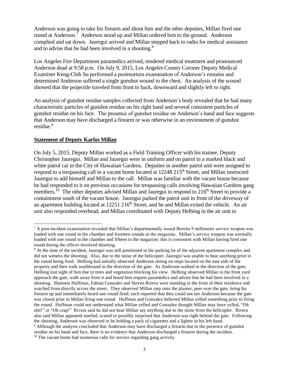Anderson was going to take his firearm and shoot him and the other deputies, Millan fired one round at Anderson.<sup>7</sup> Anderson stood up and Millan ordered him to the ground. Anderson complied and sat down. Jauregui arrived and Millan stepped back to radio for medical assistance and to advise that he had been involved in a shooting.<sup>8</sup>

Los Angeles Fire Department paramedics arrived, rendered medical treatment and pronounced Anderson dead at 9:58 p.m. On July 9, 2015, Los Angeles County Coroner Deputy Medical Examiner Keng-Chih Su performed a postmortem examination of Anderson's remains and determined Anderson suffered a single gunshot wound to the chest. An analysis of the wound showed that the projectile traveled from front to back, downward and slightly left to right.

An analysis of gunshot residue samples collected from Anderson's body revealed that he had many characteristic particles of gunshot residue on his right hand and several consistent particles of gunshot residue on his face. The presence of gunshot residue on Anderson's hand and face suggests that Anderson may have discharged a firearm or was otherwise in an environment of gunshot residue.<sup>9</sup>

#### **Statement of Deputy Karlos Millan**

On July 5, 2015, Deputy Millan worked as a Field Training Officer with his trainee, Deputy Christopher Jauregui. Millan and Jauregui were in uniform and on patrol in a marked black and white patrol car in the City of Hawaiian Gardens. Deputies in another patrol unit were assigned to respond to a trespassing call in a vacant home located at 12248 215<sup>th</sup> Street, and Millan instructed Jauregui to add himself and Millan to the call. Millan was familiar with the vacant house because he had responded to it on previous occasions for trespassing calls involving Hawaiian Gardens gang members.<sup>10</sup> The other deputies advised Millan and Jauregui to respond to 216<sup>th</sup> Street to provide a containment south of the vacant house. Jauregui parked the patrol unit in front of the driveway of an apartment building located at  $12251 216<sup>th</sup>$  Street, and he and Millan exited the vehicle. An air unit also responded overhead, and Millan coordinated with Deputy Helbing in the air unit to

l <sup>7</sup> A post-incident examination revealed that Millan's departmentally issued Beretta 9 millimeter service weapon was loaded with one round in the chamber and fourteen rounds in the magazine. Millan's service weapon was normally loaded with one round in the chamber and fifteen in the magazine; this is consistent with Millan having fired one round during the officer-involved shooting.

<sup>&</sup>lt;sup>8</sup> At the time of the incident, Jauregui was still positioned in the parking lot of the adjacent apartment complex and did not witness the shooting. Also, due to the noise of the helicopter, Jauregui was unable to hear anything prior to the round being fired. Helbing had initially observed Anderson sitting on steps located on the east side of the property and then walk southbound in the direction of the gate. As Anderson walked in the direction of the gate, Helbing lost sight of him due to trees and vegetation blocking his view. Helbing observed Millan in the front yard approach the gate, walk away from it and heard him request paramedics and advise that he had been involved in a shooting. Shannon Huffman, Fabian Gonzales and Steven Rivera were standing in the front of their residence and watched from directly across the street. They observed Millan step onto the planter, peer over the gate, bring his firearm up and immediately heard one round fired; each reported that they could not see Anderson because the gate was closed prior to Millan firing one round. Huffman and Gonzalez believed Millan yelled something prior to firing the round. Huffman could not understand what Millan yelled and Gonzalez thought Millan may have yelled, "Oh shit!" or "Oh crap!" Rivera said he did not hear Millan say anything due to the noise from the helicopter. Rivera also said Millan appeared startled, scared or possibly surprised that Anderson was right behind the gate. Following the shooting, Anderson was observed to be holding a pack of cigarettes and a lighter in his left hand. <sup>9</sup> Although the analysis concluded that Anderson may have discharged a firearm due to the presence of gunshot residue on his hand and face, there is no evidence that Anderson discharged a firearm during the incident.

 $10$  The vacant home had numerous calls for service regarding gang activity.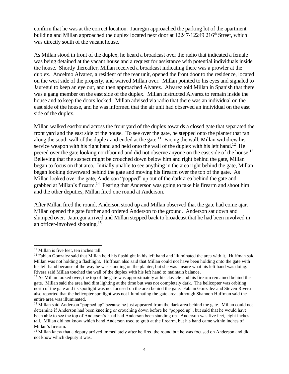confirm that he was at the correct location. Jauregui approached the parking lot of the apartment building and Millan approached the duplex located next door at  $12247-12249 216<sup>th</sup>$  Street, which was directly south of the vacant house.

As Millan stood in front of the duplex, he heard a broadcast over the radio that indicated a female was being detained at the vacant house and a request for assistance with potential individuals inside the house. Shortly thereafter, Millan received a broadcast indicating there was a prowler at the duplex. Ancelmo Alvarez, a resident of the rear unit, opened the front door to the residence, located on the west side of the property, and waived Millan over. Millan pointed to his eyes and signaled to Jauregui to keep an eye out, and then approached Alvarez. Alvarez told Millan in Spanish that there was a gang member on the east side of the duplex. Millan instructed Alvarez to remain inside the house and to keep the doors locked. Millan advised via radio that there was an individual on the east side of the house, and he was informed that the air unit had observed an individual on the east side of the duplex.

Millan walked eastbound across the front yard of the duplex towards a closed gate that separated the front yard and the east side of the house. To see over the gate, he stepped onto the planter that ran along the south wall of the duplex and ended at the gate.<sup>11</sup> Facing the wall, Millan withdrew his service weapon with his right hand and held onto the wall of the duplex with his left hand.<sup>12</sup> He peered over the gate looking northbound and did not observe anyone on the east side of the house.<sup>13</sup> Believing that the suspect might be crouched down below him and right behind the gate, Millan began to focus on that area. Initially unable to see anything in the area right behind the gate, Millan began looking downward behind the gate and moving his firearm over the top of the gate. As Millan looked over the gate, Anderson "popped" up out of the dark area behind the gate and grabbed at Millan's firearm.<sup>14</sup> Fearing that Anderson was going to take his firearm and shoot him and the other deputies, Millan fired one round at Anderson.

After Millan fired the round, Anderson stood up and Millan observed that the gate had come ajar. Millan opened the gate further and ordered Anderson to the ground. Anderson sat down and slumped over. Jauregui arrived and Millan stepped back to broadcast that he had been involved in an officer-involved shooting.<sup>15</sup>

<sup>&</sup>lt;sup>11</sup> Millan is five feet, ten inches tall.

 $12$  Fabian Gonzalez said that Millan held his flashlight in his left hand and illuminated the area with it. Huffman said Millan was not holding a flashlight. Huffman also said that Millan could not have been holding onto the gate with his left hand because of the way he was standing on the planter, but she was unsure what his left hand was doing. Rivera said Millan touched the wall of the duplex with his left hand to maintain balance.

<sup>&</sup>lt;sup>13</sup> As Millan looked over, the top of the gate was approximately at his clavicle and his firearm remained behind the gate. Millan said the area had dim lighting at the time but was not completely dark. The helicopter was orbiting north of the gate and its spotlight was not focused on the area behind the gate. Fabian Gonzalez and Steven Rivera also reported that the helicopter spotlight was not illuminating the gate area, although Shannon Huffman said the entire area was illuminated.

<sup>&</sup>lt;sup>14</sup> Millan said Anderson "popped up" because he just appeared from the dark area behind the gate. Millan could not determine if Anderson had been kneeling or crouching down before he "popped up", but said that he would have been able to see the top of Anderson's head had Anderson been standing up. Anderson was five feet, eight inches tall. Millan did not know which hand Anderson used to grab at the firearm, but his hand came within inches of Millan's firearm.

<sup>&</sup>lt;sup>15</sup> Millan knew that a deputy arrived immediately after he fired the round but he was focused on Anderson and did not know which deputy it was.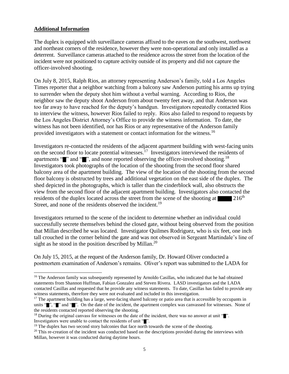#### **Additional Information**

The duplex is equipped with surveillance cameras affixed to the eaves on the southwest, northwest and northeast corners of the residence, however they were non-operational and only installed as a deterrent. Surveillance cameras attached to the residence across the street from the location of the incident were not positioned to capture activity outside of its property and did not capture the officer-involved shooting.

On July 8, 2015, Ralph Rios, an attorney representing Anderson's family, told a Los Angeles Times reporter that a neighbor watching from a balcony saw Anderson putting his arms up trying to surrender when the deputy shot him without a verbal warning. According to Rios, the neighbor saw the deputy shoot Anderson from about twenty feet away, and that Anderson was too far away to have reached for the deputy's handgun. Investigators repeatedly contacted Rios to interview the witness, however Rios failed to reply. Rios also failed to respond to requests by the Los Angeles District Attorney's Office to provide the witness information. To date, the witness has not been identified, nor has Rios or any representative of the Anderson family provided investigators with a statement or contact information for the witness.<sup>16</sup>

Investigators re-contacted the residents of the adjacent apartment building with west-facing units on the second floor to locate potential witnesses.<sup>17</sup> Investigators interviewed the residents of apartments " $\blacksquare$ " and " $\blacksquare$ ", and none reported observing the officer-involved shooting.<sup>18</sup> Investigators took photographs of the location of the shooting from the second floor shared balcony area of the apartment building. The view of the location of the shooting from the second floor balcony is obstructed by trees and additional vegetation on the east side of the duplex. The shed depicted in the photographs, which is taller than the cinderblock wall, also obstructs the view from the second floor of the adjacent apartment building. Investigators also contacted the residents of the duplex located across the street from the scene of the shooting at  $216<sup>th</sup>$ Street, and none of the residents observed the incident.<sup>19</sup>

Investigators returned to the scene of the incident to determine whether an individual could successfully secrete themselves behind the closed gate, without being observed from the position that Millan described he was located. Investigator Quilmes Rodriguez, who is six feet, one inch tall crouched in the corner behind the gate and was not observed in Sergeant Martindale's line of sight as he stood in the position described by Millan.<sup>20</sup>

On July 15, 2015, at the request of the Anderson family, Dr. Howard Oliver conducted a postmortem examination of Anderson's remains. Oliver's report was submitted to the LADA for

<sup>&</sup>lt;sup>16</sup> The Anderson family was subsequently represented by Arnoldo Casillas, who indicated that he had obtained statements from Shannon Huffman, Fabian Gonzalez and Steven Rivera. LASD investigators and the LADA contacted Casillas and requested that he provide any witness statements. To date, Casillas has failed to provide any witness statements, therefore they were not evaluated and included in this investigation.

 $17$  The apartment building has a large, west-facing shared balcony or patio area that is accessible by occupants in units "", "" and "". On the date of the incident, the apartment complex was canvassed for witnesses. None of the residents contacted reported observing the shooting.

<sup>&</sup>lt;sup>18</sup> During the original canvass for witnesses on the date of the incident, there was no answer at unit  $\mathbb{I}^n$ . Investigators were unable to contact the residents of unit "".

 $19$  The duplex has two second story balconies that face north towards the scene of the shooting.

 $20$  This re-creation of the incident was conducted based on the descriptions provided during the interviews with Millan, however it was conducted during daytime hours.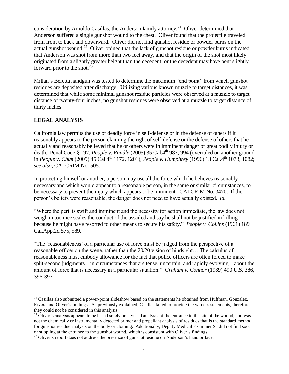consideration by Arnoldo Casillas, the Anderson family attorney.<sup>21</sup> Oliver determined that Anderson suffered a single gunshot wound to the chest. Oliver found that the projectile traveled from front to back and downward. Oliver did not find gunshot residue or powder burns on the actual gunshot wound.<sup>22</sup> Oliver opined that the lack of gunshot residue or powder burns indicated that Anderson was shot from more than two feet away, and that the origin of the shot most likely originated from a slightly greater height than the decedent, or the decedent may have bent slightly forward prior to the shot. $23$ 

Millan's Beretta handgun was tested to determine the maximum "end point" from which gunshot residues are deposited after discharge. Utilizing various known muzzle to target distances, it was determined that while some minimal gunshot residue particles were observed at a muzzle to target distance of twenty-four inches, no gunshot residues were observed at a muzzle to target distance of thirty inches.

## **LEGAL ANALYSIS**

California law permits the use of deadly force in self-defense or in the defense of others if it reasonably appears to the person claiming the right of self-defense or the defense of others that he actually and reasonably believed that he or others were in imminent danger of great bodily injury or death. Penal Code § 197; *People v. Randle* (2005) 35 Cal.4<sup>th</sup> 987, 994 (overruled on another ground in *People v. Chun* (2009) 45 Cal.4th 1172, 1201); *People v. Humphrey* (1996) 13 Cal.4th 1073, 1082; *see also,* CALCRIM No. 505.

In protecting himself or another, a person may use all the force which he believes reasonably necessary and which would appear to a reasonable person, in the same or similar circumstances, to be necessary to prevent the injury which appears to be imminent. CALCRIM No. 3470. If the person's beliefs were reasonable, the danger does not need to have actually existed. *Id.* 

"Where the peril is swift and imminent and the necessity for action immediate, the law does not weigh in too nice scales the conduct of the assailed and say he shall not be justified in killing because he might have resorted to other means to secure his safety." *People v. Collins* (1961) 189 Cal.App.2d 575, 589.

"The 'reasonableness' of a particular use of force must be judged from the perspective of a reasonable officer on the scene, rather than the 20/20 vision of hindsight….The calculus of reasonableness must embody allowance for the fact that police officers are often forced to make split-second judgments – in circumstances that are tense, uncertain, and rapidly evolving – about the amount of force that is necessary in a particular situation." *Graham v. Connor* (1989) 490 U.S. 386, 396-397.

<sup>&</sup>lt;sup>21</sup> Casillas also submitted a power-point slideshow based on the statements he obtained from Huffman, Gonzalez, Rivera and Oliver's findings. As previously explained, Casillas failed to provide the witness statements, therefore they could not be considered in this analysis.

<sup>&</sup>lt;sup>22</sup> Oliver's analysis appears to be based solely on a visual analysis of the entrance to the site of the wound, and was not the chemically or instrumentally detected primer and propellant analysis of residues that is the standard method for gunshot residue analysis on the body or clothing. Additionally, Deputy Medical Examiner Su did not find soot or stippling at the entrance to the gunshot wound, which is consistent with Oliver's findings.

<sup>&</sup>lt;sup>23</sup> Oliver's report does not address the presence of gunshot residue on Anderson's hand or face.